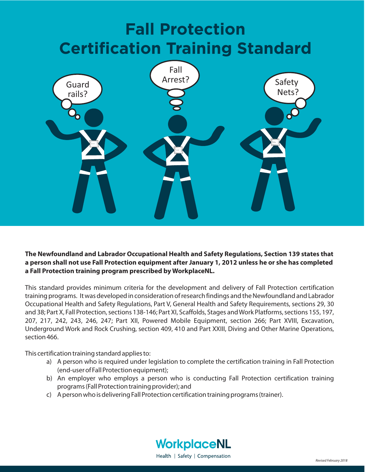# **Fall Protection Certification Training Standard**



**The Newfoundland and Labrador Occupational Health and Safety Regulations, Section 139 states that a person shall not use Fall Protection equipment after January 1, 2012 unless he or she has completed a Fall Protection training program prescribed by WorkplaceNL.**

This standard provides minimum criteria for the development and delivery of Fall Protection certification training programs. It was developed in consideration of research findings and the Newfoundland and Labrador Occupational Health and Safety Regulations, Part V, General Health and Safety Requirements, sections 29, 30 and 38; Part X, Fall Protection, sections 138-146; Part XI, Scaffolds, Stages and Work Platforms, sections 155, 197, 207, 217, 242, 243, 246, 247; Part XII, Powered Mobile Equipment, section 266; Part XVIII, Excavation, Underground Work and Rock Crushing, section 409, 410 and Part XXIII, Diving and Other Marine Operations, section 466.

This certification training standard applies to:

- a) A person who is required under legislation to complete the certification training in Fall Protection (end-user of Fall Protection equipment);
- b) An employer who employs a person who is conducting Fall Protection certification training programs (Fall Protection training provider); and
- c) A person who is delivering Fall Protection certification training programs (trainer).

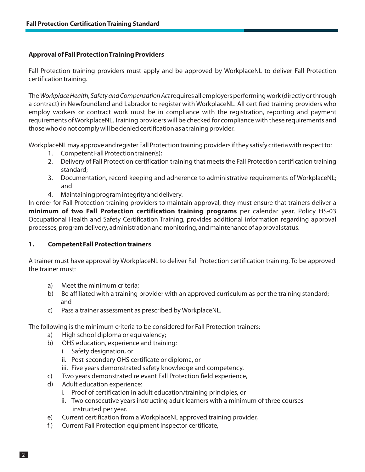# **Approval of Fall ProtectionTraining Providers**

Fall Protection training providers must apply and be approved by WorkplaceNL to deliver Fall Protection certification training.

The *Workplace Health, Safety and Compensation Act* requires all employers performing work (directly or through a contract) in Newfoundland and Labrador to register with WorkplaceNL. All certified training providers who employ workers or contract work must be in compliance with the registration, reporting and payment requirements of WorkplaceNL. Training providers will be checked for compliance with these requirements and those who do not comply will be denied certification as a training provider.

WorkplaceNL may approve and register Fall Protection training providers if they satisfy criteria with respect to:

- 1. Competent Fall Protection trainer(s);
- 2. Delivery of Fall Protection certification training that meets the Fall Protection certification training standard;
- 3. Documentation, record keeping and adherence to administrative requirements of WorkplaceNL; and
- 4. Maintaining program integrity and delivery.

In order for Fall Protection training providers to maintain approval, they must ensure that trainers deliver a **minimum of two Fall Protection certification training programs** per calendar year. Policy HS-03 Occupational Health and Safety Certification Training, provides additional information regarding approval processes, program delivery, administration and monitoring, and maintenance of approval status.

#### **1. Competent Fall Protection trainers**

A trainer must have approval by WorkplaceNL to deliver Fall Protection certification training. To be approved the trainer must:

- a) Meet the minimum criteria;
- b) Be affiliated with a training provider with an approved curriculum as per the training standard; and
- c) Pass a trainer assessment as prescribed by WorkplaceNL.

The following is the minimum criteria to be considered for Fall Protection trainers:

- a) High school diploma or equivalency;
- b) OHS education, experience and training:
	- i. Safety designation, or
	- ii. Post-secondary OHS certificate or diploma, or
	- iii. Five years demonstrated safety knowledge and competency.
- c) Two years demonstrated relevant Fall Protection field experience,
- d) Adult education experience:
	- i. Proof of certification in adult education/training principles, or
	- ii. Two consecutive years instructing adult learners with a minimum of three courses instructed per year.
- e) Current certification from a WorkplaceNL approved training provider,
- f ) Current Fall Protection equipment inspector certificate,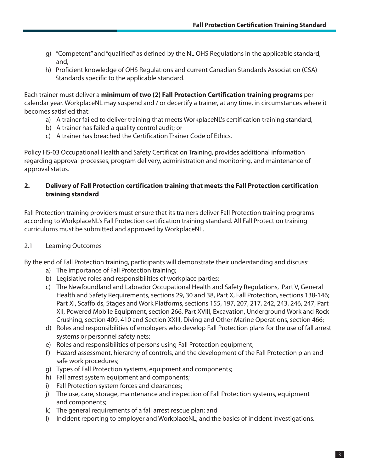- g) "Competent" and "qualified" as defined by the NL OHS Regulations in the applicable standard, and,
- h) Proficient knowledge of OHS Regulations and current Canadian Standards Association (CSA) Standards specific to the applicable standard.

Each trainer must deliver a **minimum of two (2) Fall Protection Certification training programs** per calendar year. WorkplaceNL may suspend and / or decertify a trainer, at any time, in circumstances where it becomes satisfied that:

- a) A trainer failed to deliver training that meets WorkplaceNL's certification training standard;
- b) A trainer has failed a quality control audit; or
- c) A trainer has breached the Certification Trainer Code of Ethics.

Policy HS-03 Occupational Health and Safety Certification Training, provides additional information regarding approval processes, program delivery, administration and monitoring, and maintenance of approval status.

# **2. Delivery of Fall Protection certification training that meets the Fall Protection certification training standard**

Fall Protection training providers must ensure that its trainers deliver Fall Protection training programs according to WorkplaceNL's Fall Protection certification training standard. All Fall Protection training curriculums must be submitted and approved by WorkplaceNL.

# 2.1 Learning Outcomes

By the end of Fall Protection training, participants will demonstrate their understanding and discuss:

- a) The importance of Fall Protection training;
- b) Legislative roles and responsibilities of workplace parties;
- c) The Newfoundland and Labrador Occupational Health and Safety Regulations, Part V, General Health and Safety Requirements, sections 29, 30 and 38, Part X, Fall Protection, sections 138-146; Part XI, Scaffolds, Stages and Work Platforms, sections 155, 197, 207, 217, 242, 243, 246, 247, Part XII, Powered Mobile Equipment, section 266, Part XVIII, Excavation, Underground Work and Rock Crushing, section 409, 410 and Section XXIII, Diving and Other Marine Operations, section 466;
- d) Roles and responsibilities of employers who develop Fall Protection plans for the use of fall arrest systems or personnel safety nets;
- e) Roles and responsibilities of persons using Fall Protection equipment;
- f) Hazard assessment, hierarchy of controls, and the development of the Fall Protection plan and safe work procedures;
- g) Types of Fall Protection systems, equipment and components;
- h) Fall arrest system equipment and components;
- i) Fall Protection system forces and clearances;
- j) The use, care, storage, maintenance and inspection of Fall Protection systems, equipment and components;
- k) The general requirements of a fall arrest rescue plan; and
- I) Incident reporting to employer and WorkplaceNL; and the basics of incident investigations.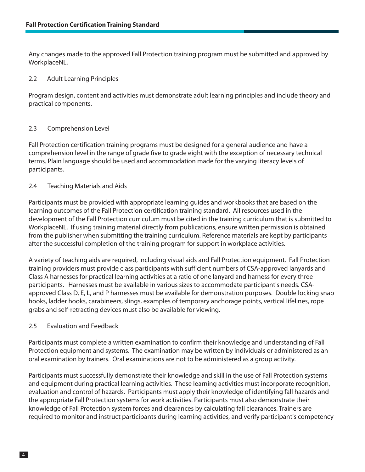Any changes made to the approved Fall Protection training program must be submitted and approved by WorkplaceNL.

#### 2.2 Adult Learning Principles

Program design, content and activities must demonstrate adult learning principles and include theory and practical components.

#### 2.3 Comprehension Level

Fall Protection certification training programs must be designed for a general audience and have a comprehension level in the range of grade five to grade eight with the exception of necessary technical terms. Plain language should be used and accommodation made for the varying literacy levels of participants.

#### 2.4 Teaching Materials and Aids

Participants must be provided with appropriate learning guides and workbooks that are based on the learning outcomes of the Fall Protection certification training standard. All resources used in the development of the Fall Protection curriculum must be cited in the training curriculum that is submitted to WorkplaceNL. If using training material directly from publications, ensure written permission is obtained from the publisher when submitting the training curriculum. Reference materials are kept by participants after the successful completion of the training program for support in workplace activities.

A variety of teaching aids are required, including visual aids and Fall Protection equipment. Fall Protection training providers must provide class participants with sufficient numbers of CSA-approved lanyards and Class A harnesses for practical learning activities at a ratio of one lanyard and harness for every three participants. Harnesses must be available in various sizes to accommodate participant's needs. CSAapproved Class D, E, L, and P harnesses must be available for demonstration purposes. Double locking snap hooks, ladder hooks, carabineers, slings, examples of temporary anchorage points, vertical lifelines, rope grabs and self-retracting devices must also be available for viewing.

#### 2.5 Evaluation and Feedback

Participants must complete a written examination to confirm their knowledge and understanding of Fall Protection equipment and systems. The examination may be written by individuals or administered as an oral examination by trainers. Oral examinations are not to be administered as a group activity.

Participants must successfully demonstrate their knowledge and skill in the use of Fall Protection systems and equipment during practical learning activities. These learning activities must incorporate recognition, evaluation and control of hazards. Participants must apply their knowledge of identifying fall hazards and the appropriate Fall Protection systems for work activities. Participants must also demonstrate their knowledge of Fall Protection system forces and clearances by calculating fall clearances. Trainers are required to monitor and instruct participants during learning activities, and verify participant's competency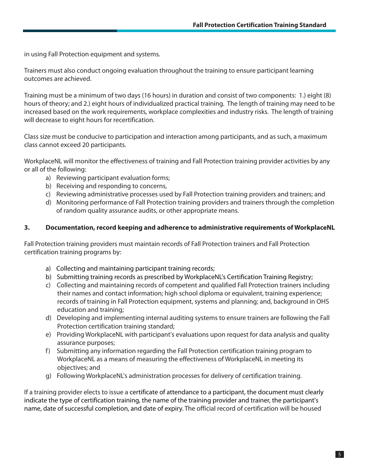in using Fall Protection equipment and systems.

Trainers must also conduct ongoing evaluation throughout the training to ensure participant learning outcomes are achieved.

Training must be a minimum of two days (16 hours) in duration and consist of two components: 1.) eight (8) hours of theory; and 2.) eight hours of individualized practical training. The length of training may need to be increased based on the work requirements, workplace complexities and industry risks. The length of training will decrease to eight hours for recertification.

Class size must be conducive to participation and interaction among participants, and as such, a maximum class cannot exceed 20 participants.

WorkplaceNL will monitor the effectiveness of training and Fall Protection training provider activities by any or all of the following:

- a) Reviewing participant evaluation forms;
- b) Receiving and responding to concerns,
- c) Reviewing administrative processes used by Fall Protection training providers and trainers; and
- d) Monitoring performance of Fall Protection training providers and trainers through the completion of random quality assurance audits, or other appropriate means.

#### **3. Documentation, record keeping and adherence to administrative requirements of WorkplaceNL**

Fall Protection training providers must maintain records of Fall Protection trainers and Fall Protection certification training programs by:

- a) Collecting and maintaining participant training records;
- b) Submitting training records as prescribed by WorkplaceNL's Certification Training Registry;
- c) Collecting and maintaining records of competent and qualified Fall Protection trainers including their names and contact information; high school diploma or equivalent, training experience; records of training in Fall Protection equipment, systems and planning; and, background in OHS education and training;
- d) Developing and implementing internal auditing systems to ensure trainers are following the Fall Protection certification training standard;
- e) Providing WorkplaceNL with participant's evaluations upon request for data analysis and quality assurance purposes;
- f) Submitting any information regarding the Fall Protection certification training program to WorkplaceNL as a means of measuring the effectiveness of WorkplaceNL in meeting its objectives; and
- g) Following WorkplaceNL's administration processes for delivery of certification training.

If a training provider elects to issue a certificate of attendance to a participant, the document must clearly indicate the type of certification training, the name of the training provider and trainer, the participant's name, date of successful completion, and date of expiry. The official record of certification will be housed